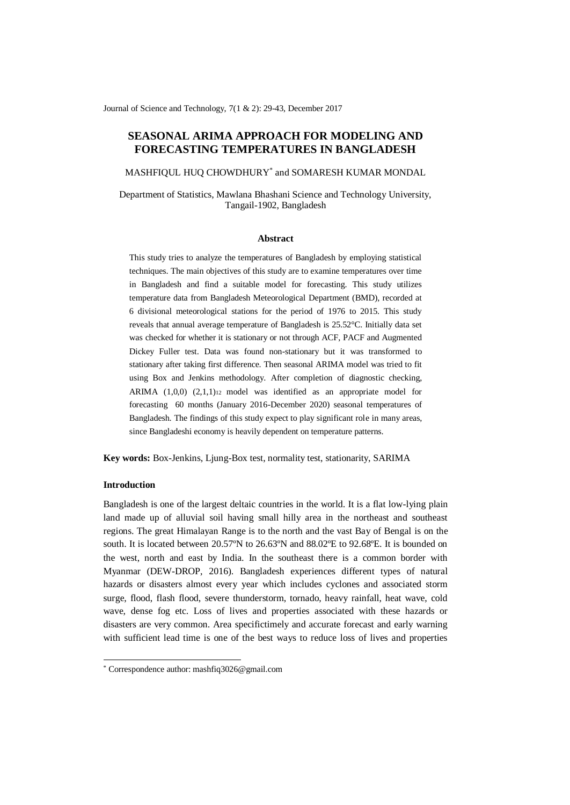Journal of Science and Technology, 7(1 & 2): 29-43, December 2017

# **SEASONAL ARIMA APPROACH FOR MODELING AND FORECASTING TEMPERATURES IN BANGLADESH**

MASHFIQUL HUQ CHOWDHURY\* and SOMARESH KUMAR MONDAL

Department of Statistics, Mawlana Bhashani Science and Technology University, Tangail-1902, Bangladesh

#### **Abstract**

This study tries to analyze the temperatures of Bangladesh by employing statistical techniques. The main objectives of this study are to examine temperatures over time in Bangladesh and find a suitable model for forecasting. This study utilizes temperature data from Bangladesh Meteorological Department (BMD), recorded at 6 divisional meteorological stations for the period of 1976 to 2015. This study reveals that annual average temperature of Bangladesh is 25.52°C. Initially data set was checked for whether it is stationary or not through ACF, PACF and Augmented Dickey Fuller test. Data was found non-stationary but it was transformed to stationary after taking first difference. Then seasonal ARIMA model was tried to fit using Box and Jenkins methodology. After completion of diagnostic checking, ARIMA  $(1,0,0)$   $(2,1,1)_{12}$  model was identified as an appropriate model for forecasting 60 months (January 2016-December 2020) seasonal temperatures of Bangladesh. The findings of this study expect to play significant role in many areas, since Bangladeshi economy is heavily dependent on temperature patterns.

**Key words:** Box-Jenkins[, Ljung-Box test,](https://en.wikipedia.org/wiki/Ljung%E2%80%93Box_test) normality test, stationarity, SARIMA

## **Introduction**

-

Bangladesh is one of the largest deltaic countries in the world. It is a flat low-lying plain land made up of alluvial soil having small hilly area in the northeast and southeast regions. The great Himalayan Range is to the north and the vast Bay of Bengal is on the south. It is located between 20.57ºN to 26.63ºN and 88.02ºE to 92.68ºE. It is bounded on the west, north and east by India. In the southeast there is a common border with Myanmar (DEW-DROP, 2016). Bangladesh experiences different types of natural hazards or disasters almost every year which includes cyclones and associated storm surge, flood, flash flood, severe thunderstorm, tornado, heavy rainfall, heat wave, cold wave, dense fog etc. Loss of lives and properties associated with these hazards or disasters are very common. Area specifictimely and accurate forecast and early warning with sufficient lead time is one of the best ways to reduce loss of lives and properties

<sup>\*</sup> Correspondence author: mashfiq3026@gmail.com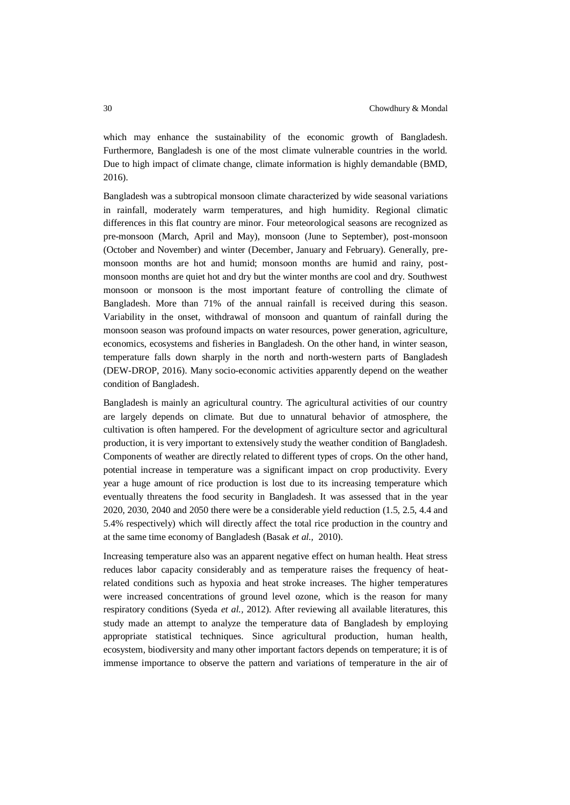which may enhance the sustainability of the economic growth of Bangladesh. Furthermore, Bangladesh is one of the most climate vulnerable countries in the world. Due to high impact of climate change, climate information is highly demandable (BMD, 2016).

Bangladesh was a subtropical monsoon climate characterized by wide seasonal variations in rainfall, moderately warm temperatures, and high humidity. Regional climatic differences in this flat country are minor. Four meteorological seasons are recognized as pre-monsoon (March, April and May), monsoon (June to September), post-monsoon (October and November) and winter (December, January and February). Generally, premonsoon months are hot and humid; monsoon months are humid and rainy, postmonsoon months are quiet hot and dry but the winter months are cool and dry. Southwest monsoon or monsoon is the most important feature of controlling the climate of Bangladesh. More than 71% of the annual rainfall is received during this season. Variability in the onset, withdrawal of monsoon and quantum of rainfall during the monsoon season was profound impacts on water resources, power generation, agriculture, economics, ecosystems and fisheries in Bangladesh. On the other hand, in winter season, temperature falls down sharply in the north and north-western parts of Bangladesh (DEW-DROP, 2016). Many socio-economic activities apparently depend on the weather condition of Bangladesh.

Bangladesh is mainly an agricultural country. The agricultural activities of our country are largely depends on climate. But due to unnatural behavior of atmosphere, the cultivation is often hampered. For the development of agriculture sector and agricultural production, it is very important to extensively study the weather condition of Bangladesh. Components of weather are directly related to different types of crops. On the other hand, potential increase in temperature was a significant impact on crop productivity. Every year a huge amount of rice production is lost due to its increasing temperature which eventually threatens the food security in Bangladesh. It was assessed that in the year 2020, 2030, 2040 and 2050 there were be a considerable yield reduction (1.5, 2.5, 4.4 and 5.4% respectively) which will directly affect the total rice production in the country and at the same time economy of Bangladesh (Basak *et al.,* 2010).

Increasing temperature also was an apparent negative effect on human health. Heat stress reduces labor capacity considerably and as temperature raises the frequency of heatrelated conditions such as hypoxia and heat stroke increases. The higher temperatures were increased concentrations of ground level ozone, which is the reason for many respiratory conditions (Syeda *et al.,* 2012). After reviewing all available literatures, this study made an attempt to analyze the temperature data of Bangladesh by employing appropriate statistical techniques. Since agricultural production, human health, ecosystem, biodiversity and many other important factors depends on temperature; it is of immense importance to observe the pattern and variations of temperature in the air of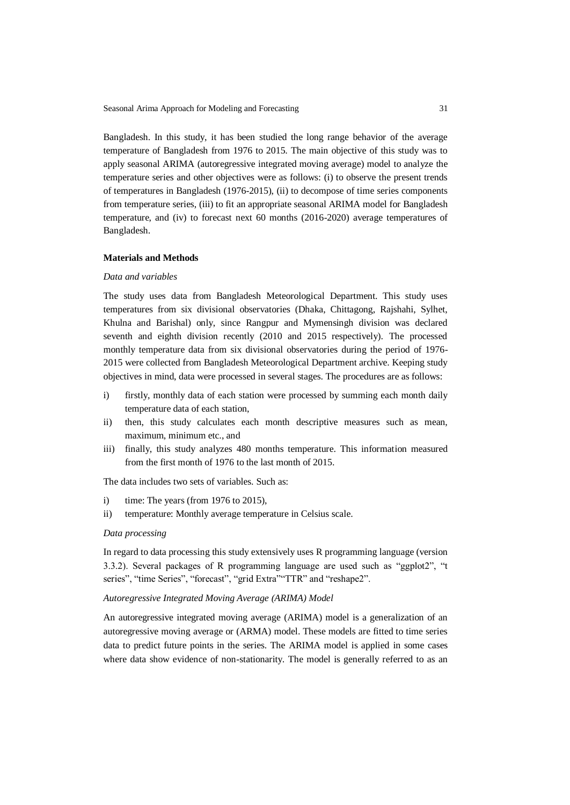Seasonal Arima Approach for Modeling and Forecasting 31

Bangladesh. In this study, it has been studied the long range behavior of the average temperature of Bangladesh from 1976 to 2015. The main objective of this study was to apply seasonal ARIMA (autoregressive integrated moving average) model to analyze the temperature series and other objectives were as follows: (i) to observe the present trends of temperatures in Bangladesh (1976-2015), (ii) to decompose of time series components from temperature series, (iii) to fit an appropriate seasonal ARIMA model for Bangladesh temperature, and (iv) to forecast next 60 months (2016-2020) average temperatures of Bangladesh.

## **Materials and Methods**

## *Data and variables*

The study uses data from Bangladesh Meteorological Department. This study uses temperatures from six divisional observatories (Dhaka, Chittagong, Rajshahi, Sylhet, Khulna and Barishal) only, since Rangpur and Mymensingh division was declared seventh and eighth division recently (2010 and 2015 respectively). The processed monthly temperature data from six divisional observatories during the period of 1976- 2015 were collected from Bangladesh Meteorological Department archive. Keeping study objectives in mind, data were processed in several stages. The procedures are as follows:

- i) firstly, monthly data of each station were processed by summing each month daily temperature data of each station,
- ii) then, this study calculates each month descriptive measures such as mean, maximum, minimum etc., and
- iii) finally, this study analyzes 480 months temperature. This information measured from the first month of 1976 to the last month of 2015.

The data includes two sets of variables. Such as:

- i) time: The years (from 1976 to 2015),
- ii) temperature: Monthly average temperature in Celsius scale.

#### *Data processing*

In regard to data processing this study extensively uses R programming language (version 3.3.2). Several packages of R programming language are used such as "ggplot2", "t series", "time Series", "forecast", "grid Extra""TTR" and "reshape2".

#### *Autoregressive Integrated Moving Average (ARIMA) Model*

An autoregressive integrated moving average (ARIMA) model is a generalization of an autoregressive moving average or (ARMA) model. These models are fitted to time series data to predict future points in the series. The ARIMA model is applied in some cases where data show evidence of non-stationarity. The model is generally referred to as an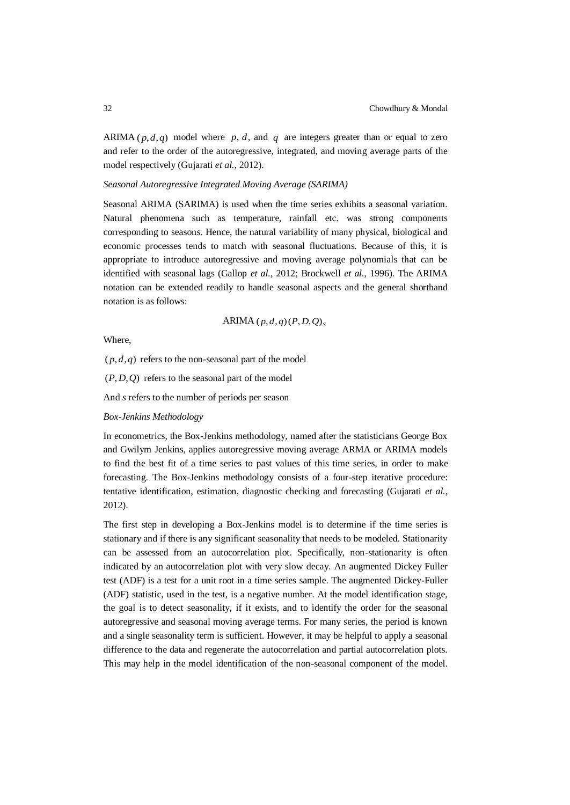ARIMA  $(p,d,q)$  model where p, d, and q are integers greater than or equal to zero and refer to the order of the autoregressive, integrated, and moving average parts of the model respectively (Gujarati *et al.*, 2012).

#### *Seasonal Autoregressive Integrated Moving Average (SARIMA)*

Seasonal ARIMA (SARIMA) is used when the time series exhibits a seasonal variation. Natural phenomena such as temperature, rainfall etc. was strong components corresponding to seasons. Hence, the natural variability of many physical, biological and economic processes tends to match with seasonal fluctuations. Because of this, it is appropriate to introduce autoregressive and moving average polynomials that can be identified with seasonal lags (Gallop *et al.*, 2012; Brockwell *et al.*, 1996). The ARIMA notation can be extended readily to handle seasonal aspects and the general shorthand notation is as follows:

ARIMA 
$$
(p,d,q)(P,D,Q)
$$
<sub>s</sub>

Where,

 $(p, d, q)$  refers to the non-seasonal part of the model

(*P*, *D*,*Q*) refers to the seasonal part of the model

And *s* refers to the number of periods per season

#### *Box-Jenkins Methodology*

In econometrics, the Box-Jenkins methodology, named after the statisticians George Box and Gwilym Jenkins, applies autoregressive moving average ARMA or ARIMA models to find the best fit of a time series to past values of this time series, in order to make forecasting. The Box-Jenkins methodology consists of a four-step iterative procedure: tentative identification, estimation, diagnostic checking and forecasting (Gujarati *et al.*, 2012).

The first step in developing a Box-Jenkins model is to determine if the time series is stationary and if there is any significant seasonality that needs to be modeled. Stationarity can be assessed from an autocorrelation plot. Specifically, non-stationarity is often indicated by an autocorrelation plot with very slow decay. An augmented Dickey Fuller test (ADF) is a test for a unit root in a time series sample. The augmented Dickey-Fuller (ADF) statistic, used in the test, is a negative number. At the model identification stage, the goal is to detect seasonality, if it exists, and to identify the order for the seasonal autoregressive and seasonal moving average terms. For many series, the period is known and a single seasonality term is sufficient. However, it may be helpful to apply a seasonal difference to the data and regenerate the autocorrelation and partial autocorrelation plots. This may help in the model identification of the non-seasonal component of the model.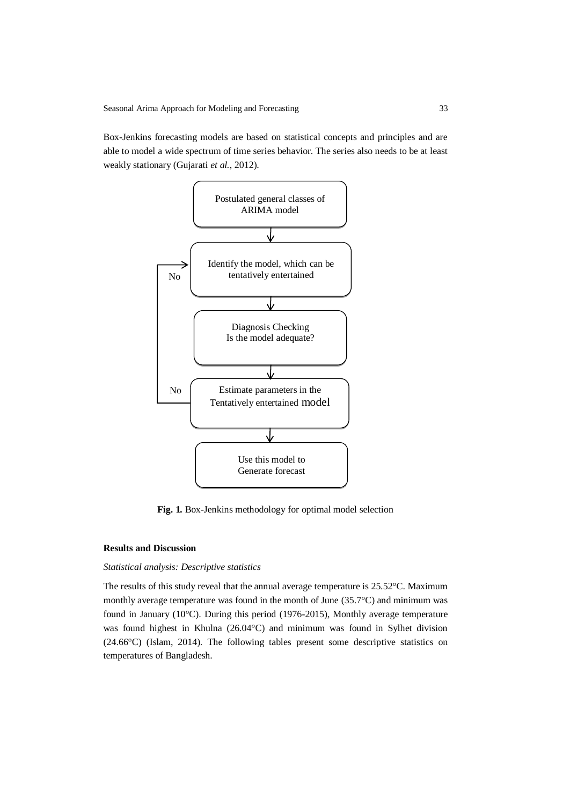Box-Jenkins forecasting models are based on statistical concepts and principles and are able to model a wide spectrum of time series behavior. The series also needs to be at least weakly stationary (Gujarati *et al.*, 2012).



**Fig. 1***.* Box-Jenkins methodology for optimal model selection

## **Results and Discussion**

### *Statistical analysis: Descriptive statistics*

The results of this study reveal that the annual average temperature is 25.52°C. Maximum monthly average temperature was found in the month of June (35.7°C) and minimum was found in January (10°C). During this period (1976-2015), Monthly average temperature was found highest in Khulna (26.04°C) and minimum was found in Sylhet division (24.66°C) (Islam, 2014). The following tables present some descriptive statistics on temperatures of Bangladesh.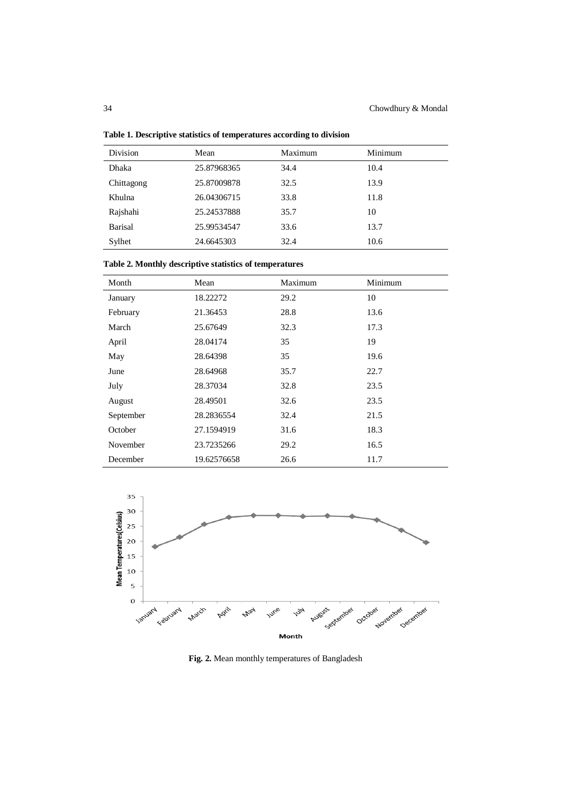| Division       | Mean        | Maximum | Minimum |
|----------------|-------------|---------|---------|
| <b>Dhaka</b>   | 25.87968365 | 34.4    | 10.4    |
| Chittagong     | 25.87009878 | 32.5    | 13.9    |
| Khulna         | 26.04306715 | 33.8    | 11.8    |
| Rajshahi       | 25.24537888 | 35.7    | 10      |
| <b>Barisal</b> | 25.99534547 | 33.6    | 13.7    |
| Sylhet         | 24.6645303  | 32.4    | 10.6    |

**Table 1. Descriptive statistics of temperatures according to division**

**Table 2. Monthly descriptive statistics of temperatures**

| Month     | Mean        | Maximum | Minimum |
|-----------|-------------|---------|---------|
| January   | 18.22272    | 29.2    | 10      |
| February  | 21.36453    | 28.8    | 13.6    |
| March     | 25.67649    | 32.3    | 17.3    |
| April     | 28.04174    | 35      | 19      |
| May       | 28.64398    | 35      | 19.6    |
| June      | 28.64968    | 35.7    | 22.7    |
| July      | 28.37034    | 32.8    | 23.5    |
| August    | 28.49501    | 32.6    | 23.5    |
| September | 28.2836554  | 32.4    | 21.5    |
| October   | 27.1594919  | 31.6    | 18.3    |
| November  | 23.7235266  | 29.2    | 16.5    |
| December  | 19.62576658 | 26.6    | 11.7    |



**Fig. 2.** Mean monthly temperatures of Bangladesh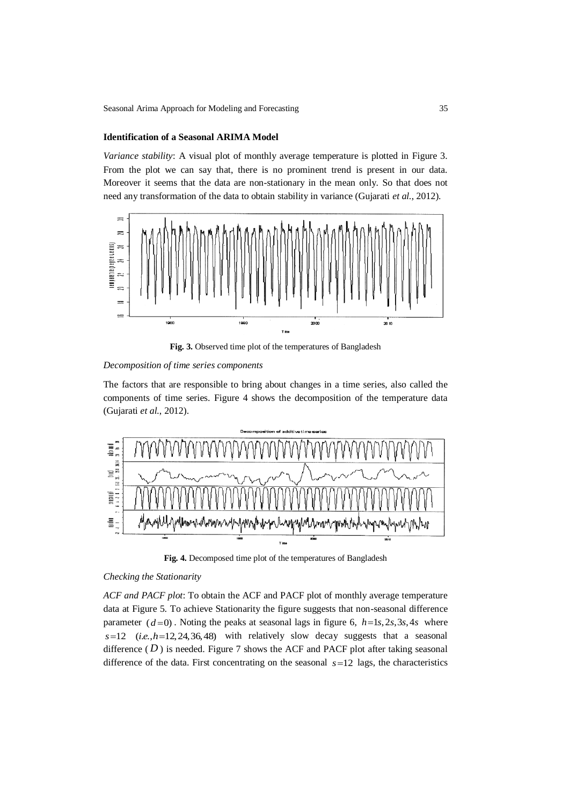## **Identification of a Seasonal ARIMA Model**

*Variance stability*: A visual plot of monthly average temperature is plotted in Figure 3. From the plot we can say that, there is no prominent trend is present in our data. Moreover it seems that the data are non-stationary in the mean only. So that does not need any transformation of the data to obtain stability in variance (Gujarati *et al.*, 2012).



Fig. 3. Observed time plot of the temperatures of Bangladesh

#### *Decomposition of time series components*

The factors that are responsible to bring about changes in a time series, also called the components of time series. Figure 4 shows the decomposition of the temperature data (Gujarati *et al.*, 2012).



**Fig. 4.** Decomposed time plot of the temperatures of Bangladesh

## *Checking the Stationarity*

*ACF and PACF plot*: To obtain the ACF and PACF plot of monthly average temperature data at Figure 5. To achieve Stationarity the figure suggests that non-seasonal difference parameter  $(d=0)$ . Noting the peaks at seasonal lags in figure 6,  $h=1s, 2s, 3s, 4s$  where  $s=12$  (*i.e.*, $h=12,24,36,48$ ) with relatively slow decay suggests that a seasonal difference  $(D)$  is needed. Figure 7 shows the ACF and PACF plot after taking seasonal difference of the data. First concentrating on the seasonal  $s=12$  lags, the characteristics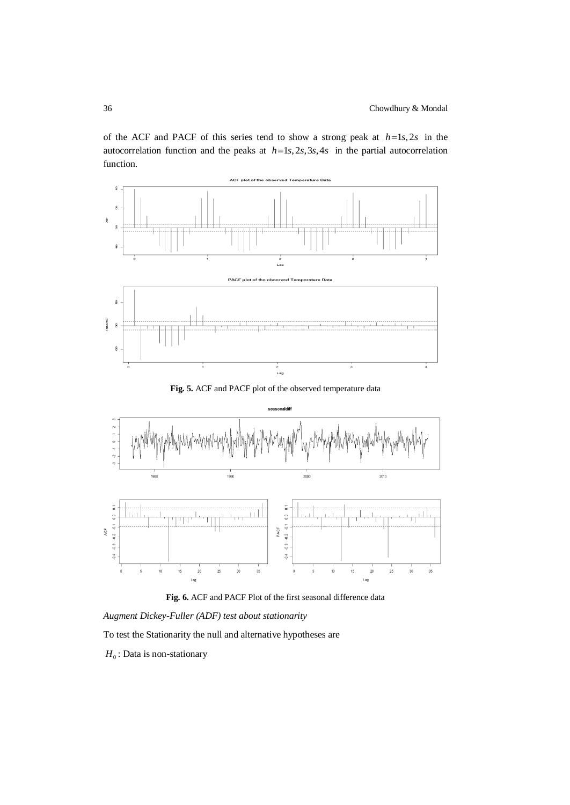of the ACF and PACF of this series tend to show a strong peak at  $h=1s,2s$  in the autocorrelation function and the peaks at  $h=1s,2s,3s,4s$  in the partial autocorrelation function.



**Fig. 5.** ACF and PACF plot of the observed temperature data





*Augment Dickey-Fuller (ADF) test about stationarity*

To test the Stationarity the null and alternative hypotheses are

 $H_0$ : Data is non-stationary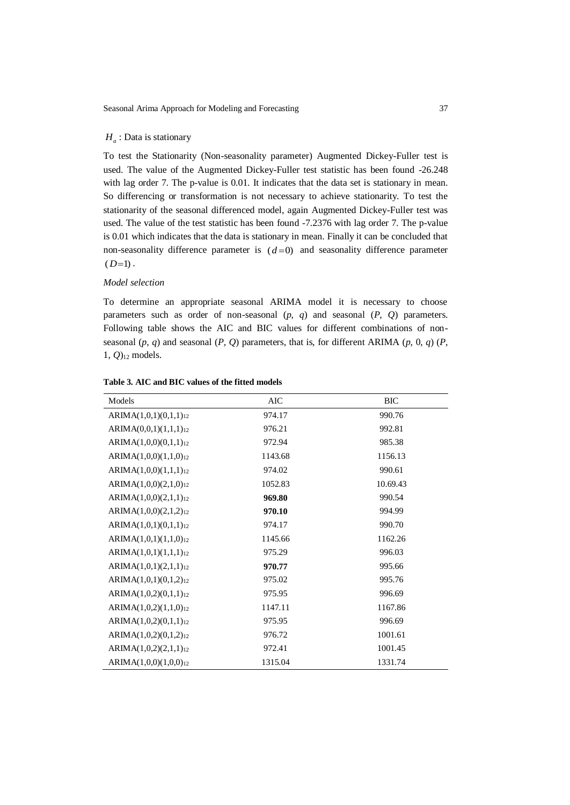## *H<sup>a</sup>* : Data is stationary

To test the Stationarity (Non-seasonality parameter) Augmented Dickey-Fuller test is used. The value of the Augmented Dickey-Fuller test statistic has been found -26.248 with lag order 7. The p-value is 0.01. It indicates that the data set is stationary in mean. So differencing or transformation is not necessary to achieve stationarity. To test the stationarity of the seasonal differenced model, again Augmented Dickey-Fuller test was used. The value of the test statistic has been found -7.2376 with lag order 7. The p-value is 0.01 which indicates that the data is stationary in mean. Finally it can be concluded that non-seasonality difference parameter is  $(d=0)$  and seasonality difference parameter  $(D=1)$ .

## *Model selection*

To determine an appropriate seasonal ARIMA model it is necessary to choose parameters such as order of non-seasonal (*p*, *q*) and seasonal (*P*, *Q*) parameters. Following table shows the AIC and BIC values for different combinations of nonseasonal  $(p, q)$  and seasonal  $(P, Q)$  parameters, that is, for different ARIMA  $(p, 0, q)$   $(P, q)$ 1, *Q*)<sup>12</sup> models.

| Models                            | <b>AIC</b> | <b>BIC</b> |
|-----------------------------------|------------|------------|
| $ARIMA(1,0,1)(0,1,1)_{12}$        | 974.17     | 990.76     |
| $ARIMA(0,0,1)(1,1,1)_{12}$        | 976.21     | 992.81     |
| $ARIMA(1,0,0)(0,1,1)_{12}$        | 972.94     | 985.38     |
| $ARIMA(1,0,0)(1,1,0)_{12}$        | 1143.68    | 1156.13    |
| $ARIMA(1,0,0)(1,1,1)_{12}$        | 974.02     | 990.61     |
| ARIMA(1,0,0)(2,1,0) <sub>12</sub> | 1052.83    | 10.69.43   |
| $ARIMA(1,0,0)(2,1,1)_{12}$        | 969.80     | 990.54     |
| ARIMA(1,0,0)(2,1,2)12             | 970.10     | 994.99     |
| $ARIMA(1,0,1)(0,1,1)_{12}$        | 974.17     | 990.70     |
| $ARIMA(1,0,1)(1,1,0)_{12}$        | 1145.66    | 1162.26    |
| ARIMA(1,0,1)(1,1,1)12             | 975.29     | 996.03     |
| $ARIMA(1,0,1)(2,1,1)_{12}$        | 970.77     | 995.66     |
| ARIMA(1,0,1)(0,1,2)12             | 975.02     | 995.76     |
| $ARIMA(1,0,2)(0,1,1)_{12}$        | 975.95     | 996.69     |
| $ARIMA(1,0,2)(1,1,0)_{12}$        | 1147.11    | 1167.86    |
| ARIMA(1,0,2)(0,1,1) <sub>12</sub> | 975.95     | 996.69     |
| $ARIMA(1,0,2)(0,1,2)_{12}$        | 976.72     | 1001.61    |
| ARIMA(1,0,2)(2,1,1)12             | 972.41     | 1001.45    |
| $ARIMA(1,0,0)(1,0,0)_{12}$        | 1315.04    | 1331.74    |

| Table 3. AIC and BIC values of the fitted models |  |  |  |
|--------------------------------------------------|--|--|--|
|--------------------------------------------------|--|--|--|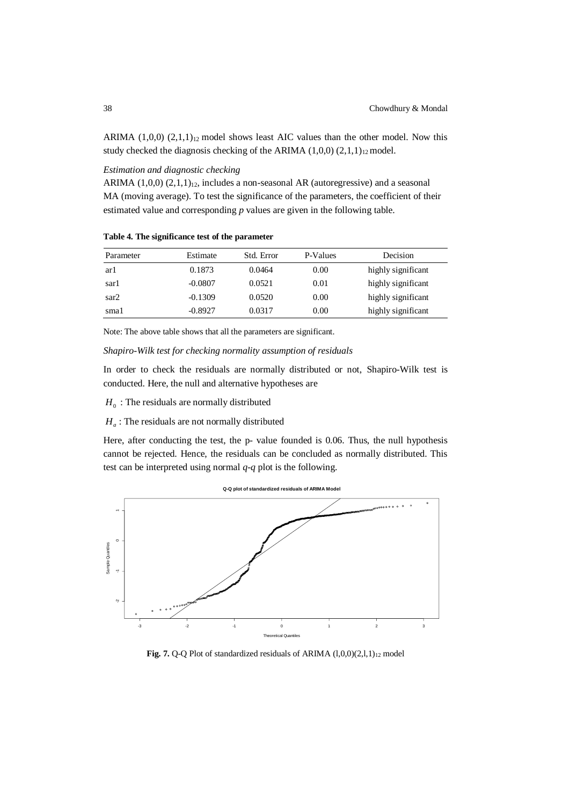ARIMA  $(1,0,0)$   $(2,1,1)_{12}$  model shows least AIC values than the other model. Now this study checked the diagnosis checking of the ARIMA  $(1,0,0)$   $(2,1,1)_{12}$  model.

*Estimation and diagnostic checking*

ARIMA  $(1,0,0)$   $(2,1,1)_{12}$ , includes a non-seasonal AR (autoregressive) and a seasonal MA (moving average). To test the significance of the parameters, the coefficient of their estimated value and corresponding *p* values are given in the following table.

**Table 4. The significance test of the parameter**

| Parameter | Estimate  | Std. Error | P-Values | Decision           |
|-----------|-----------|------------|----------|--------------------|
| ar1       | 0.1873    | 0.0464     | 0.00     | highly significant |
| sar1      | $-0.0807$ | 0.0521     | 0.01     | highly significant |
| sar2      | $-0.1309$ | 0.0520     | 0.00     | highly significant |
| smal      | $-0.8927$ | 0.0317     | 0.00     | highly significant |

Note: The above table shows that all the parameters are significant.

*Shapiro-Wilk test for checking normality assumption of residuals*

In order to check the residuals are normally distributed or not, Shapiro-Wilk test is conducted. Here, the null and alternative hypotheses are

- $H_0$ : The residuals are normally distributed
- $H_a$ : The residuals are not normally distributed

Here, after conducting the test, the p- value founded is 0.06. Thus, the null hypothesis cannot be rejected. Hence, the residuals can be concluded as normally distributed. This test can be interpreted using normal *q*-*q* plot is the following.



Fig. 7. Q-Q Plot of standardized residuals of ARIMA (1,0,0)(2,1,1)<sub>12</sub> model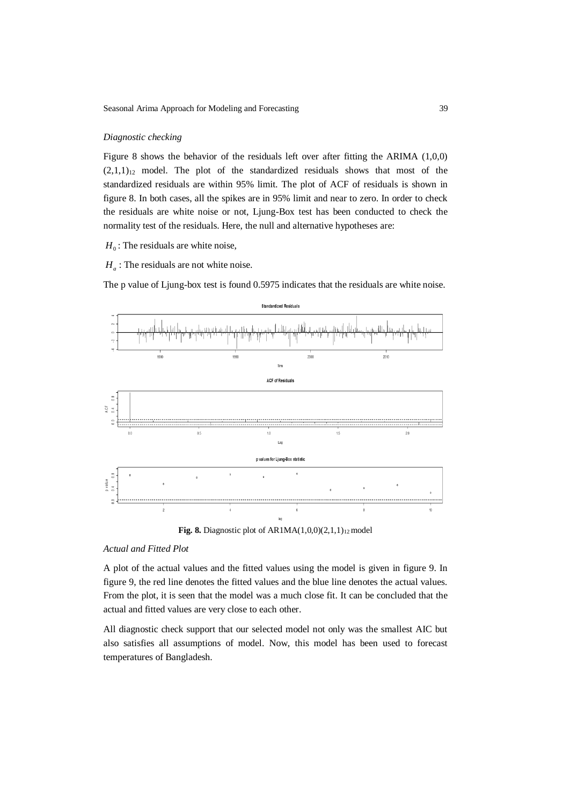#### *Diagnostic checking*

Figure 8 shows the behavior of the residuals left over after fitting the ARIMA (1,0,0)  $(2,1,1)_{12}$  model. The plot of the standardized residuals shows that most of the standardized residuals are within 95% limit. The plot of ACF of residuals is shown in figure 8. In both cases, all the spikes are in 95% limit and near to zero. In order to check the residuals are white noise or not, Ljung-Box test has been conducted to check the normality test of the residuals. Here, the null and alternative hypotheses are:

 $H_0$ : The residuals are white noise,

 $H_a$ : The residuals are not white noise.

The p value of Ljung-box test is found 0.5975 indicates that the residuals are white noise.



**Fig. 8.** Diagnostic plot of  $AR1MA(1,0,0)(2,1,1)_{12}$  model

## *Actual and Fitted Plot*

A plot of the actual values and the fitted values using the model is given in figure 9. In figure 9, the red line denotes the fitted values and the blue line denotes the actual values. From the plot, it is seen that the model was a much close fit. It can be concluded that the actual and fitted values are very close to each other.

All diagnostic check support that our selected model not only was the smallest AIC but also satisfies all assumptions of model. Now, this model has been used to forecast temperatures of Bangladesh.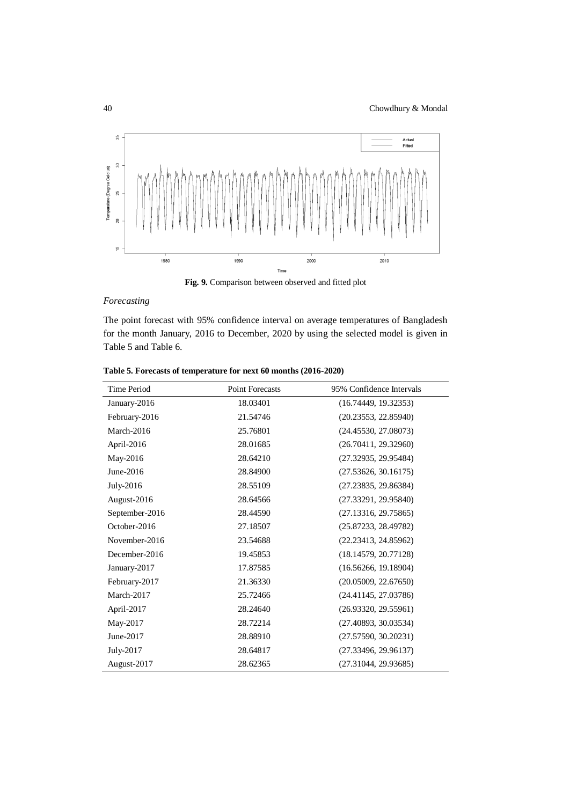

**Fig. 9.** Comparison between observed and fitted plot

## *Forecasting*

The point forecast with 95% confidence interval on average temperatures of Bangladesh for the month January, 2016 to December, 2020 by using the selected model is given in Table 5 and Table 6.

| Time Period    | <b>Point Forecasts</b> | 95% Confidence Intervals |
|----------------|------------------------|--------------------------|
| January-2016   | 18.03401               | (16.74449, 19.32353)     |
| February-2016  | 21.54746               | (20.23553, 22.85940)     |
| March-2016     | 25.76801               | (24.45530, 27.08073)     |
| April-2016     | 28.01685               | (26.70411, 29.32960)     |
| May-2016       | 28.64210               | (27.32935, 29.95484)     |
| June-2016      | 28.84900               | (27.53626, 30.16175)     |
| July-2016      | 28.55109               | (27.23835, 29.86384)     |
| August-2016    | 28.64566               | (27.33291, 29.95840)     |
| September-2016 | 28.44590               | (27.13316, 29.75865)     |
| October-2016   | 27.18507               | (25.87233, 28.49782)     |
| November-2016  | 23.54688               | (22.23413, 24.85962)     |
| December-2016  | 19.45853               | (18.14579, 20.77128)     |
| January-2017   | 17.87585               | (16.56266, 19.18904)     |
| February-2017  | 21.36330               | (20.05009, 22.67650)     |
| March-2017     | 25.72466               | (24.41145, 27.03786)     |
| April-2017     | 28.24640               | (26.93320, 29.55961)     |
| May-2017       | 28.72214               | (27.40893, 30.03534)     |
| June-2017      | 28.88910               | (27.57590, 30.20231)     |
| July-2017      | 28.64817               | (27.33496, 29.96137)     |
| August-2017    | 28.62365               | (27.31044, 29.93685)     |

**Table 5. Forecasts of temperature for next 60 months (2016-2020)**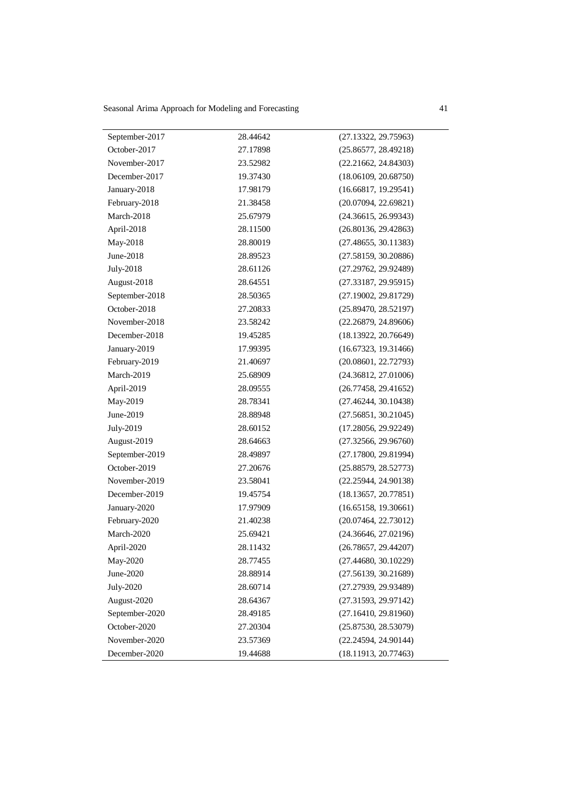Seasonal Arima Approach for Modeling and Forecasting 41

| 28.44642<br>September-2017<br>(27.13322, 29.75963)<br>October-2017<br>27.17898<br>(25.86577, 28.49218)<br>November-2017<br>23.52982<br>(22.21662, 24.84303)<br>December-2017<br>19.37430<br>(18.06109, 20.68750)<br>January-2018<br>17.98179<br>(16.66817, 19.29541)<br>February-2018<br>21.38458<br>(20.07094, 22.69821)<br>March-2018<br>25.67979<br>(24.36615, 26.99343)<br>April-2018<br>28.11500<br>(26.80136, 29.42863)<br>May-2018<br>28.80019<br>(27.48655, 30.11383)<br>June-2018<br>28.89523<br>(27.58159, 30.20886)<br>July-2018<br>28.61126<br>(27.29762, 29.92489)<br>August-2018<br>28.64551<br>(27.33187, 29.95915)<br>September-2018<br>28.50365<br>(27.19002, 29.81729)<br>October-2018<br>27.20833<br>(25.89470, 28.52197)<br>November-2018<br>23.58242<br>(22.26879, 24.89606)<br>December-2018<br>19.45285<br>(18.13922, 20.76649)<br>(16.67323, 19.31466)<br>January-2019<br>17.99395<br>February-2019<br>21.40697<br>(20.08601, 22.72793)<br>March-2019<br>(24.36812, 27.01006)<br>25.68909<br>April-2019<br>28.09555<br>(26.77458, 29.41652)<br>May-2019<br>28.78341<br>(27.46244, 30.10438)<br>June-2019<br>28.88948<br>(27.56851, 30.21045)<br>(17.28056, 29.92249)<br>July-2019<br>28.60152<br>August-2019<br>28.64663<br>(27.32566, 29.96760)<br>September-2019<br>28.49897<br>(27.17800, 29.81994)<br>October-2019<br>27.20676<br>(25.88579, 28.52773)<br>November-2019<br>23.58041<br>(22.25944, 24.90138)<br>December-2019<br>19.45754<br>(18.13657, 20.77851)<br>(16.65158, 19.30661)<br>January-2020<br>17.97909<br>February-2020<br>21.40238<br>(20.07464, 22.73012)<br>March-2020<br>(24.36646, 27.02196)<br>25.69421<br>April-2020<br>28.11432<br>(26.78657, 29.44207)<br>May-2020<br>(27.44680, 30.10229)<br>28.77455<br>June-2020<br>(27.56139, 30.21689)<br>28.88914<br>July-2020<br>28.60714<br>(27.27939, 29.93489)<br>August-2020<br>28.64367<br>(27.31593, 29.97142)<br>September-2020<br>28.49185<br>(27.16410, 29.81960)<br>October-2020<br>27.20304<br>(25.87530, 28.53079)<br>November-2020<br>(22.24594, 24.90144)<br>23.57369<br>December-2020<br>19.44688<br>(18.11913, 20.77463) |  |  |
|------------------------------------------------------------------------------------------------------------------------------------------------------------------------------------------------------------------------------------------------------------------------------------------------------------------------------------------------------------------------------------------------------------------------------------------------------------------------------------------------------------------------------------------------------------------------------------------------------------------------------------------------------------------------------------------------------------------------------------------------------------------------------------------------------------------------------------------------------------------------------------------------------------------------------------------------------------------------------------------------------------------------------------------------------------------------------------------------------------------------------------------------------------------------------------------------------------------------------------------------------------------------------------------------------------------------------------------------------------------------------------------------------------------------------------------------------------------------------------------------------------------------------------------------------------------------------------------------------------------------------------------------------------------------------------------------------------------------------------------------------------------------------------------------------------------------------------------------------------------------------------------------------------------------------------------------------------------------------------------------------------------------------------------------------------------------------------------------------------------------------------|--|--|
|                                                                                                                                                                                                                                                                                                                                                                                                                                                                                                                                                                                                                                                                                                                                                                                                                                                                                                                                                                                                                                                                                                                                                                                                                                                                                                                                                                                                                                                                                                                                                                                                                                                                                                                                                                                                                                                                                                                                                                                                                                                                                                                                    |  |  |
|                                                                                                                                                                                                                                                                                                                                                                                                                                                                                                                                                                                                                                                                                                                                                                                                                                                                                                                                                                                                                                                                                                                                                                                                                                                                                                                                                                                                                                                                                                                                                                                                                                                                                                                                                                                                                                                                                                                                                                                                                                                                                                                                    |  |  |
|                                                                                                                                                                                                                                                                                                                                                                                                                                                                                                                                                                                                                                                                                                                                                                                                                                                                                                                                                                                                                                                                                                                                                                                                                                                                                                                                                                                                                                                                                                                                                                                                                                                                                                                                                                                                                                                                                                                                                                                                                                                                                                                                    |  |  |
|                                                                                                                                                                                                                                                                                                                                                                                                                                                                                                                                                                                                                                                                                                                                                                                                                                                                                                                                                                                                                                                                                                                                                                                                                                                                                                                                                                                                                                                                                                                                                                                                                                                                                                                                                                                                                                                                                                                                                                                                                                                                                                                                    |  |  |
|                                                                                                                                                                                                                                                                                                                                                                                                                                                                                                                                                                                                                                                                                                                                                                                                                                                                                                                                                                                                                                                                                                                                                                                                                                                                                                                                                                                                                                                                                                                                                                                                                                                                                                                                                                                                                                                                                                                                                                                                                                                                                                                                    |  |  |
|                                                                                                                                                                                                                                                                                                                                                                                                                                                                                                                                                                                                                                                                                                                                                                                                                                                                                                                                                                                                                                                                                                                                                                                                                                                                                                                                                                                                                                                                                                                                                                                                                                                                                                                                                                                                                                                                                                                                                                                                                                                                                                                                    |  |  |
|                                                                                                                                                                                                                                                                                                                                                                                                                                                                                                                                                                                                                                                                                                                                                                                                                                                                                                                                                                                                                                                                                                                                                                                                                                                                                                                                                                                                                                                                                                                                                                                                                                                                                                                                                                                                                                                                                                                                                                                                                                                                                                                                    |  |  |
|                                                                                                                                                                                                                                                                                                                                                                                                                                                                                                                                                                                                                                                                                                                                                                                                                                                                                                                                                                                                                                                                                                                                                                                                                                                                                                                                                                                                                                                                                                                                                                                                                                                                                                                                                                                                                                                                                                                                                                                                                                                                                                                                    |  |  |
|                                                                                                                                                                                                                                                                                                                                                                                                                                                                                                                                                                                                                                                                                                                                                                                                                                                                                                                                                                                                                                                                                                                                                                                                                                                                                                                                                                                                                                                                                                                                                                                                                                                                                                                                                                                                                                                                                                                                                                                                                                                                                                                                    |  |  |
|                                                                                                                                                                                                                                                                                                                                                                                                                                                                                                                                                                                                                                                                                                                                                                                                                                                                                                                                                                                                                                                                                                                                                                                                                                                                                                                                                                                                                                                                                                                                                                                                                                                                                                                                                                                                                                                                                                                                                                                                                                                                                                                                    |  |  |
|                                                                                                                                                                                                                                                                                                                                                                                                                                                                                                                                                                                                                                                                                                                                                                                                                                                                                                                                                                                                                                                                                                                                                                                                                                                                                                                                                                                                                                                                                                                                                                                                                                                                                                                                                                                                                                                                                                                                                                                                                                                                                                                                    |  |  |
|                                                                                                                                                                                                                                                                                                                                                                                                                                                                                                                                                                                                                                                                                                                                                                                                                                                                                                                                                                                                                                                                                                                                                                                                                                                                                                                                                                                                                                                                                                                                                                                                                                                                                                                                                                                                                                                                                                                                                                                                                                                                                                                                    |  |  |
|                                                                                                                                                                                                                                                                                                                                                                                                                                                                                                                                                                                                                                                                                                                                                                                                                                                                                                                                                                                                                                                                                                                                                                                                                                                                                                                                                                                                                                                                                                                                                                                                                                                                                                                                                                                                                                                                                                                                                                                                                                                                                                                                    |  |  |
|                                                                                                                                                                                                                                                                                                                                                                                                                                                                                                                                                                                                                                                                                                                                                                                                                                                                                                                                                                                                                                                                                                                                                                                                                                                                                                                                                                                                                                                                                                                                                                                                                                                                                                                                                                                                                                                                                                                                                                                                                                                                                                                                    |  |  |
|                                                                                                                                                                                                                                                                                                                                                                                                                                                                                                                                                                                                                                                                                                                                                                                                                                                                                                                                                                                                                                                                                                                                                                                                                                                                                                                                                                                                                                                                                                                                                                                                                                                                                                                                                                                                                                                                                                                                                                                                                                                                                                                                    |  |  |
|                                                                                                                                                                                                                                                                                                                                                                                                                                                                                                                                                                                                                                                                                                                                                                                                                                                                                                                                                                                                                                                                                                                                                                                                                                                                                                                                                                                                                                                                                                                                                                                                                                                                                                                                                                                                                                                                                                                                                                                                                                                                                                                                    |  |  |
|                                                                                                                                                                                                                                                                                                                                                                                                                                                                                                                                                                                                                                                                                                                                                                                                                                                                                                                                                                                                                                                                                                                                                                                                                                                                                                                                                                                                                                                                                                                                                                                                                                                                                                                                                                                                                                                                                                                                                                                                                                                                                                                                    |  |  |
|                                                                                                                                                                                                                                                                                                                                                                                                                                                                                                                                                                                                                                                                                                                                                                                                                                                                                                                                                                                                                                                                                                                                                                                                                                                                                                                                                                                                                                                                                                                                                                                                                                                                                                                                                                                                                                                                                                                                                                                                                                                                                                                                    |  |  |
|                                                                                                                                                                                                                                                                                                                                                                                                                                                                                                                                                                                                                                                                                                                                                                                                                                                                                                                                                                                                                                                                                                                                                                                                                                                                                                                                                                                                                                                                                                                                                                                                                                                                                                                                                                                                                                                                                                                                                                                                                                                                                                                                    |  |  |
|                                                                                                                                                                                                                                                                                                                                                                                                                                                                                                                                                                                                                                                                                                                                                                                                                                                                                                                                                                                                                                                                                                                                                                                                                                                                                                                                                                                                                                                                                                                                                                                                                                                                                                                                                                                                                                                                                                                                                                                                                                                                                                                                    |  |  |
|                                                                                                                                                                                                                                                                                                                                                                                                                                                                                                                                                                                                                                                                                                                                                                                                                                                                                                                                                                                                                                                                                                                                                                                                                                                                                                                                                                                                                                                                                                                                                                                                                                                                                                                                                                                                                                                                                                                                                                                                                                                                                                                                    |  |  |
|                                                                                                                                                                                                                                                                                                                                                                                                                                                                                                                                                                                                                                                                                                                                                                                                                                                                                                                                                                                                                                                                                                                                                                                                                                                                                                                                                                                                                                                                                                                                                                                                                                                                                                                                                                                                                                                                                                                                                                                                                                                                                                                                    |  |  |
|                                                                                                                                                                                                                                                                                                                                                                                                                                                                                                                                                                                                                                                                                                                                                                                                                                                                                                                                                                                                                                                                                                                                                                                                                                                                                                                                                                                                                                                                                                                                                                                                                                                                                                                                                                                                                                                                                                                                                                                                                                                                                                                                    |  |  |
|                                                                                                                                                                                                                                                                                                                                                                                                                                                                                                                                                                                                                                                                                                                                                                                                                                                                                                                                                                                                                                                                                                                                                                                                                                                                                                                                                                                                                                                                                                                                                                                                                                                                                                                                                                                                                                                                                                                                                                                                                                                                                                                                    |  |  |
|                                                                                                                                                                                                                                                                                                                                                                                                                                                                                                                                                                                                                                                                                                                                                                                                                                                                                                                                                                                                                                                                                                                                                                                                                                                                                                                                                                                                                                                                                                                                                                                                                                                                                                                                                                                                                                                                                                                                                                                                                                                                                                                                    |  |  |
|                                                                                                                                                                                                                                                                                                                                                                                                                                                                                                                                                                                                                                                                                                                                                                                                                                                                                                                                                                                                                                                                                                                                                                                                                                                                                                                                                                                                                                                                                                                                                                                                                                                                                                                                                                                                                                                                                                                                                                                                                                                                                                                                    |  |  |
|                                                                                                                                                                                                                                                                                                                                                                                                                                                                                                                                                                                                                                                                                                                                                                                                                                                                                                                                                                                                                                                                                                                                                                                                                                                                                                                                                                                                                                                                                                                                                                                                                                                                                                                                                                                                                                                                                                                                                                                                                                                                                                                                    |  |  |
|                                                                                                                                                                                                                                                                                                                                                                                                                                                                                                                                                                                                                                                                                                                                                                                                                                                                                                                                                                                                                                                                                                                                                                                                                                                                                                                                                                                                                                                                                                                                                                                                                                                                                                                                                                                                                                                                                                                                                                                                                                                                                                                                    |  |  |
|                                                                                                                                                                                                                                                                                                                                                                                                                                                                                                                                                                                                                                                                                                                                                                                                                                                                                                                                                                                                                                                                                                                                                                                                                                                                                                                                                                                                                                                                                                                                                                                                                                                                                                                                                                                                                                                                                                                                                                                                                                                                                                                                    |  |  |
|                                                                                                                                                                                                                                                                                                                                                                                                                                                                                                                                                                                                                                                                                                                                                                                                                                                                                                                                                                                                                                                                                                                                                                                                                                                                                                                                                                                                                                                                                                                                                                                                                                                                                                                                                                                                                                                                                                                                                                                                                                                                                                                                    |  |  |
|                                                                                                                                                                                                                                                                                                                                                                                                                                                                                                                                                                                                                                                                                                                                                                                                                                                                                                                                                                                                                                                                                                                                                                                                                                                                                                                                                                                                                                                                                                                                                                                                                                                                                                                                                                                                                                                                                                                                                                                                                                                                                                                                    |  |  |
|                                                                                                                                                                                                                                                                                                                                                                                                                                                                                                                                                                                                                                                                                                                                                                                                                                                                                                                                                                                                                                                                                                                                                                                                                                                                                                                                                                                                                                                                                                                                                                                                                                                                                                                                                                                                                                                                                                                                                                                                                                                                                                                                    |  |  |
|                                                                                                                                                                                                                                                                                                                                                                                                                                                                                                                                                                                                                                                                                                                                                                                                                                                                                                                                                                                                                                                                                                                                                                                                                                                                                                                                                                                                                                                                                                                                                                                                                                                                                                                                                                                                                                                                                                                                                                                                                                                                                                                                    |  |  |
|                                                                                                                                                                                                                                                                                                                                                                                                                                                                                                                                                                                                                                                                                                                                                                                                                                                                                                                                                                                                                                                                                                                                                                                                                                                                                                                                                                                                                                                                                                                                                                                                                                                                                                                                                                                                                                                                                                                                                                                                                                                                                                                                    |  |  |
|                                                                                                                                                                                                                                                                                                                                                                                                                                                                                                                                                                                                                                                                                                                                                                                                                                                                                                                                                                                                                                                                                                                                                                                                                                                                                                                                                                                                                                                                                                                                                                                                                                                                                                                                                                                                                                                                                                                                                                                                                                                                                                                                    |  |  |
|                                                                                                                                                                                                                                                                                                                                                                                                                                                                                                                                                                                                                                                                                                                                                                                                                                                                                                                                                                                                                                                                                                                                                                                                                                                                                                                                                                                                                                                                                                                                                                                                                                                                                                                                                                                                                                                                                                                                                                                                                                                                                                                                    |  |  |
|                                                                                                                                                                                                                                                                                                                                                                                                                                                                                                                                                                                                                                                                                                                                                                                                                                                                                                                                                                                                                                                                                                                                                                                                                                                                                                                                                                                                                                                                                                                                                                                                                                                                                                                                                                                                                                                                                                                                                                                                                                                                                                                                    |  |  |
|                                                                                                                                                                                                                                                                                                                                                                                                                                                                                                                                                                                                                                                                                                                                                                                                                                                                                                                                                                                                                                                                                                                                                                                                                                                                                                                                                                                                                                                                                                                                                                                                                                                                                                                                                                                                                                                                                                                                                                                                                                                                                                                                    |  |  |
|                                                                                                                                                                                                                                                                                                                                                                                                                                                                                                                                                                                                                                                                                                                                                                                                                                                                                                                                                                                                                                                                                                                                                                                                                                                                                                                                                                                                                                                                                                                                                                                                                                                                                                                                                                                                                                                                                                                                                                                                                                                                                                                                    |  |  |
|                                                                                                                                                                                                                                                                                                                                                                                                                                                                                                                                                                                                                                                                                                                                                                                                                                                                                                                                                                                                                                                                                                                                                                                                                                                                                                                                                                                                                                                                                                                                                                                                                                                                                                                                                                                                                                                                                                                                                                                                                                                                                                                                    |  |  |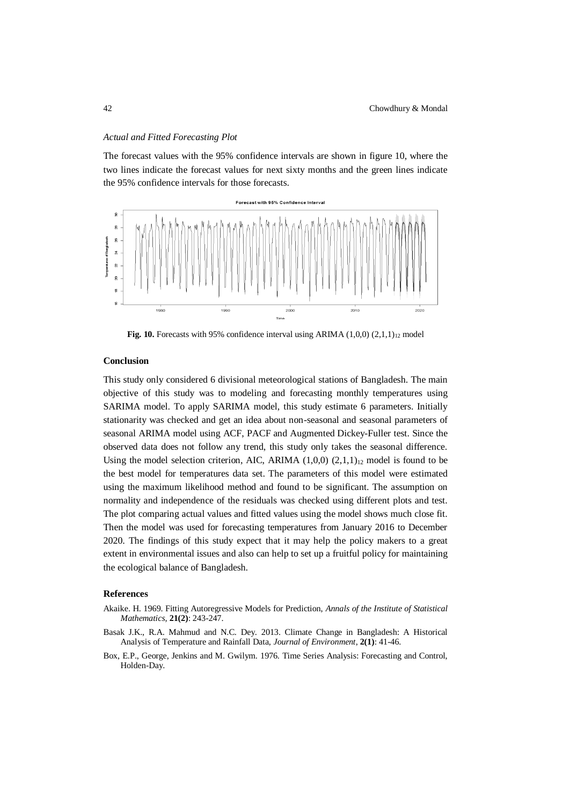#### *Actual and Fitted Forecasting Plot*

The forecast values with the 95% confidence intervals are shown in figure 10, where the two lines indicate the forecast values for next sixty months and the green lines indicate the 95% confidence intervals for those forecasts.



**Fig. 10.** Forecasts with 95% confidence interval using ARIMA  $(1,0,0)$   $(2,1,1)_{12}$  model

#### **Conclusion**

This study only considered 6 divisional meteorological stations of Bangladesh. The main objective of this study was to modeling and forecasting monthly temperatures using SARIMA model. To apply SARIMA model, this study estimate 6 parameters. Initially stationarity was checked and get an idea about non-seasonal and seasonal parameters of seasonal ARIMA model using ACF, PACF and Augmented Dickey-Fuller test. Since the observed data does not follow any trend, this study only takes the seasonal difference. Using the model selection criterion, AIC, ARIMA  $(1,0,0)$   $(2,1,1)<sub>12</sub>$  model is found to be the best model for temperatures data set. The parameters of this model were estimated using the maximum likelihood method and found to be significant. The assumption on normality and independence of the residuals was checked using different plots and test. The plot comparing actual values and fitted values using the model shows much close fit. Then the model was used for forecasting temperatures from January 2016 to December 2020. The findings of this study expect that it may help the policy makers to a great extent in environmental issues and also can help to set up a fruitful policy for maintaining the ecological balance of Bangladesh.

## **References**

- Akaike. H. 1969. Fitting Autoregressive Models for Prediction, *Annals of the Institute of Statistical Mathematics,* **21(2)**: 243-247.
- Basak J.K., R.A. Mahmud and N.C. Dey. 2013. Climate Change in Bangladesh: A Historical Analysis of Temperature and Rainfall Data, *Journal of Environment*, **2(1)**: 41-46.
- Box, E.P., George, Jenkins and M. Gwilym. 1976. Time Series Analysis: Forecasting and Control, Holden-Day.